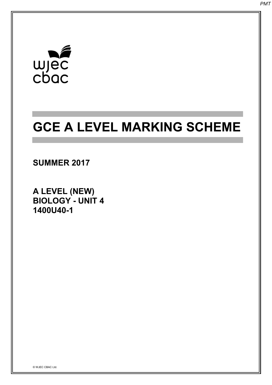# $\begin{array}{c}\n\mathbf{w} \\
\mathbf{w} \\
\mathbf{c} \\
\mathbf{b} \\
\mathbf{a}\n\end{array}$

## **GCE A LEVEL MARKING SCHEME**

### **SUMMER 2017**

**A LEVEL (NEW) BIOLOGY - UNIT 4 1400U40-1**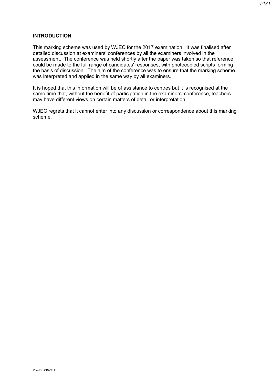#### **INTRODUCTION**

This marking scheme was used by WJEC for the 2017 examination. It was finalised after detailed discussion at examiners' conferences by all the examiners involved in the assessment. The conference was held shortly after the paper was taken so that reference could be made to the full range of candidates' responses, with photocopied scripts forming the basis of discussion. The aim of the conference was to ensure that the marking scheme was interpreted and applied in the same way by all examiners.

It is hoped that this information will be of assistance to centres but it is recognised at the same time that, without the benefit of participation in the examiners' conference, teachers may have different views on certain matters of detail or interpretation.

WJEC regrets that it cannot enter into any discussion or correspondence about this marking scheme.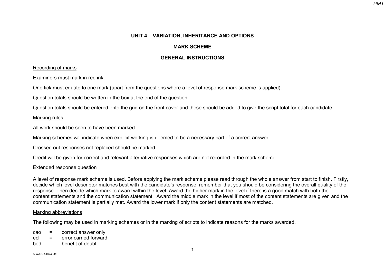#### **UNIT 4 – VARIATION, INHERITANCE AND OPTIONS**

#### **MARK SCHEME**

#### **GENERAL INSTRUCTIONS**

#### Recording of marks

Examiners must mark in red ink.

One tick must equate to one mark (apart from the questions where a level of response mark scheme is applied).

Question totals should be written in the box at the end of the question.

Question totals should be entered onto the grid on the front cover and these should be added to give the script total for each candidate.

#### Marking rules

All work should be seen to have been marked.

Marking schemes will indicate when explicit working is deemed to be a necessary part of a correct answer.

Crossed out responses not replaced should be marked.

Credit will be given for correct and relevant alternative responses which are not recorded in the mark scheme.

#### Extended response question

A level of response mark scheme is used. Before applying the mark scheme please read through the whole answer from start to finish. Firstly, decide which level descriptor matches best with the candidate's response: remember that you should be considering the overall quality of the response. Then decide which mark to award within the level. Award the higher mark in the level if there is a good match with both the content statements and the communication statement. Award the middle mark in the level if most of the content statements are given and the communication statement is partially met. Award the lower mark if only the content statements are matched.

#### Marking abbreviations

The following may be used in marking schemes or in the marking of scripts to indicate reasons for the marks awarded.

cao = correct answer only

ecf = error carried forward

 $b \circ d = b \circ a$  benefit of doubt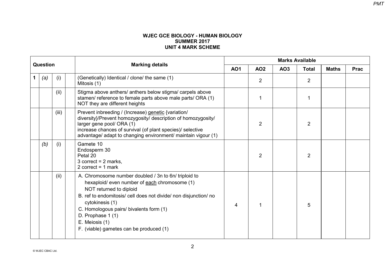#### **WJEC GCE BIOLOGY - HUMAN BIOLOGY SUMMER 2017 UNIT 4 MARK SCHEME**

|          |     |       |                                                                                                                                                                                                                                                                                                                                                      | <b>Marks Available</b> |                |                 |                |              |             |  |  |
|----------|-----|-------|------------------------------------------------------------------------------------------------------------------------------------------------------------------------------------------------------------------------------------------------------------------------------------------------------------------------------------------------------|------------------------|----------------|-----------------|----------------|--------------|-------------|--|--|
| Question |     |       | <b>Marking details</b>                                                                                                                                                                                                                                                                                                                               | <b>AO1</b>             | <b>AO2</b>     | AO <sub>3</sub> | <b>Total</b>   | <b>Maths</b> | <b>Prac</b> |  |  |
|          | (a) | (i)   | (Genetically) Identical / clone/ the same (1)<br>Mitosis (1)                                                                                                                                                                                                                                                                                         |                        | 2              |                 | $\overline{2}$ |              |             |  |  |
|          |     | (ii)  | Stigma above anthers/ anthers below stigma/ carpels above<br>stamen/ reference to female parts above male parts/ ORA (1)<br>NOT they are different heights                                                                                                                                                                                           |                        |                |                 |                |              |             |  |  |
|          |     | (iii) | Prevent inbreeding / (Increase) genetic {variation/<br>diversity}/Prevent homozygosity/ description of homozygosity/<br>larger gene pool/ ORA (1)<br>increase chances of survival (of plant species)/ selective<br>advantage/ adapt to changing environment/ maintain vigour (1)                                                                     |                        | $\overline{2}$ |                 | $\overline{2}$ |              |             |  |  |
|          | (b) | (i)   | Gamete 10<br>Endosperm 30<br>Petal 20<br>3 correct = $2$ marks,<br>2 correct = $1$ mark                                                                                                                                                                                                                                                              |                        | 2              |                 | $\overline{2}$ |              |             |  |  |
|          |     | (ii)  | A. Chromosome number doubled / 3n to 6n/ triploid to<br>hexaploid/ even number of each chromosome (1)<br>NOT returned to diploid<br>B. ref to endomitosis/ cell does not divide/ non disjunction/ no<br>cytokinesis (1)<br>C. Homologous pairs/ bivalents form (1)<br>D. Prophase 1 (1)<br>E. Meiosis (1)<br>F. (viable) gametes can be produced (1) | $\overline{4}$         | -1             |                 | 5              |              |             |  |  |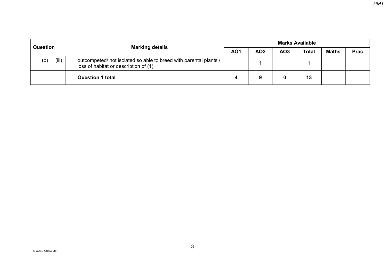| <b>Question</b> |     | <b>Marking details</b> | <b>Marks Available</b>                                                                                     |            |                 |              |              |             |  |  |
|-----------------|-----|------------------------|------------------------------------------------------------------------------------------------------------|------------|-----------------|--------------|--------------|-------------|--|--|
|                 |     |                        | <b>AO1</b>                                                                                                 | <b>AO2</b> | AO <sub>3</sub> | <b>Total</b> | <b>Maths</b> | <b>Prac</b> |  |  |
|                 | (b) | (iii)                  | outcompeted/ not isolated so able to breed with parental plants /<br>loss of habitat or description of (1) |            |                 |              |              |             |  |  |
|                 |     |                        | <b>Question 1 total</b>                                                                                    |            |                 |              | 13           |             |  |  |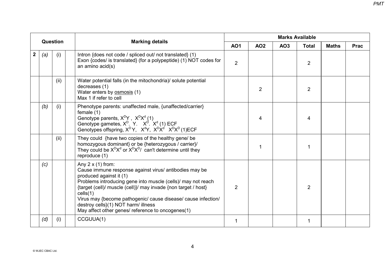|                  |     |          |                                                                                                                                                                                                                                                                                                                                                                                                                          |                |                |     | <b>Marks Available</b> |              |             |
|------------------|-----|----------|--------------------------------------------------------------------------------------------------------------------------------------------------------------------------------------------------------------------------------------------------------------------------------------------------------------------------------------------------------------------------------------------------------------------------|----------------|----------------|-----|------------------------|--------------|-------------|
|                  |     | Question | <b>Marking details</b>                                                                                                                                                                                                                                                                                                                                                                                                   | <b>AO1</b>     | <b>AO2</b>     | AO3 | <b>Total</b>           | <b>Maths</b> | <b>Prac</b> |
| $\boldsymbol{2}$ | (a) | (i)      | Intron {does not code / spliced out/ not translated} (1)<br>Exon {codes/ is translated} (for a polypeptide) (1) NOT codes for<br>an amino acid(s)                                                                                                                                                                                                                                                                        | $\overline{2}$ |                |     | $\overline{2}$         |              |             |
|                  |     | (ii)     | Water potential falls (in the mitochondria)/ solute potential<br>decreases (1)<br>Water enters by osmosis (1)<br>Max 1 if refer to cell                                                                                                                                                                                                                                                                                  |                | $\overline{2}$ |     | $\overline{2}$         |              |             |
|                  | (b) | (i)      | Phenotype parents: unaffected male, {unaffected/carrier}<br>female $(1)$<br>Genotype parents, $X^D Y$ , $X^D X^d$ (1)<br>Genotype gametes, $X^D$ . Y. $X^D$ . $X^d$ (1) ECF<br>Genotypes offspring, $X^D Y$ , $X^d Y$ , $X^D X^d$ $X^D X^D$ (1)ECF                                                                                                                                                                       |                | 4              |     | 4                      |              |             |
|                  |     | (ii)     | They could {have two copies of the healthy gene/ be<br>homozygous dominant} or be {heterozygous / carrier}/<br>They could be $X^{D}X^{d}$ or $X^{D}X^{D}$ / can't determine until they<br>reproduce (1)                                                                                                                                                                                                                  |                | 1              |     |                        |              |             |
|                  | (c) |          | Any $2 \times (1)$ from:<br>Cause immune response against virus/ antibodies may be<br>produced against it (1)<br>Problems introducing gene into muscle (cells)/ may not reach<br>{target (cell)/ muscle (cell)}/ may invade {non target / host}<br>cells(1)<br>Virus may {become pathogenic/ cause disease/ cause infection/<br>destroy cells}(1) NOT harm/ illness<br>May affect other genes/ reference to oncogenes(1) | $\overline{2}$ |                |     | $\overline{2}$         |              |             |
|                  | (d) | (i)      | CCGUUA(1)                                                                                                                                                                                                                                                                                                                                                                                                                | 1              |                |     |                        |              |             |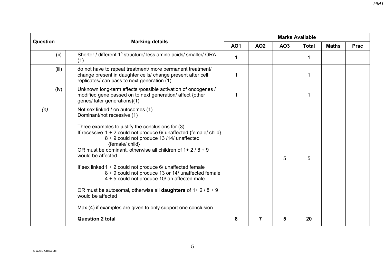|          |       |                                                                                                                                                                                                                                                                                                                                                                                                                                                                                                                                                                                                                                                                                      |              |            | <b>Marks Available</b> |              |              |             |
|----------|-------|--------------------------------------------------------------------------------------------------------------------------------------------------------------------------------------------------------------------------------------------------------------------------------------------------------------------------------------------------------------------------------------------------------------------------------------------------------------------------------------------------------------------------------------------------------------------------------------------------------------------------------------------------------------------------------------|--------------|------------|------------------------|--------------|--------------|-------------|
| Question |       | <b>Marking details</b>                                                                                                                                                                                                                                                                                                                                                                                                                                                                                                                                                                                                                                                               | <b>AO1</b>   | <b>AO2</b> | AO3                    | <b>Total</b> | <b>Maths</b> | <b>Prac</b> |
|          | (ii)  | Shorter / different 1° structure/ less amino acids/ smaller/ ORA<br>(1)                                                                                                                                                                                                                                                                                                                                                                                                                                                                                                                                                                                                              | $\mathbf{1}$ |            |                        | $\mathbf{1}$ |              |             |
|          | (iii) | do not have to repeat treatment/ more permanent treatment/<br>change present in daughter cells/ change present after cell<br>replicates/ can pass to next generation (1)                                                                                                                                                                                                                                                                                                                                                                                                                                                                                                             | 1            |            |                        | 1            |              |             |
|          | (iv)  | Unknown long-term effects /possible activation of oncogenes /<br>modified gene passed on to next generation/ affect {other<br>genes/ later generations}(1)                                                                                                                                                                                                                                                                                                                                                                                                                                                                                                                           | 1            |            |                        | 1            |              |             |
| (e)      |       | Not sex linked / on autosomes (1)<br>Dominant/not recessive (1)<br>Three examples to justify the conclusions for (3)<br>If recessive $1 + 2$ could not produce 6/ unaffected {female/ child}<br>8 + 9 could not produce 13 /14/ unaffected<br>{female/ child}<br>OR must be dominant, otherwise all children of $1+2/8+9$<br>would be affected<br>If sex linked $1 + 2$ could not produce 6/ unaffected female<br>8 + 9 could not produce 13 or 14/ unaffected female<br>4 + 5 could not produce 10/ an affected male<br>OR must be autosomal, otherwise all <b>daughters</b> of $1 + 2/8 + 9$<br>would be affected<br>Max (4) if examples are given to only support one conclusion. |              |            | 5                      | 5            |              |             |
|          |       | <b>Question 2 total</b>                                                                                                                                                                                                                                                                                                                                                                                                                                                                                                                                                                                                                                                              | 8            | 7          | 5                      | 20           |              |             |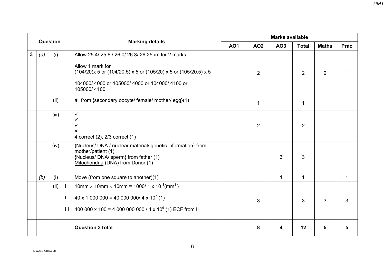|   |     | Question |     |                                                                                                                                                                |            |                | <b>Marks available</b> |                |                |             |
|---|-----|----------|-----|----------------------------------------------------------------------------------------------------------------------------------------------------------------|------------|----------------|------------------------|----------------|----------------|-------------|
|   |     |          |     | <b>Marking details</b>                                                                                                                                         | <b>AO1</b> | <b>AO2</b>     | <b>AO3</b>             | <b>Total</b>   | <b>Maths</b>   | <b>Prac</b> |
| 3 | (a) | (i)      |     | Allow 25.4/ 25.6 / 26.0/ 26.3/ 26.25µm for 2 marks                                                                                                             |            |                |                        |                |                |             |
|   |     |          |     | Allow 1 mark for<br>(104/20)x 5 or (104/20.5) x 5 or (105/20) x 5 or (105/20.5) x 5                                                                            |            | $\overline{2}$ |                        | $\overline{2}$ | $\overline{2}$ |             |
|   |     |          |     | 104000/4000 or 105000/4000 or 104000/4100 or<br>105000/4100                                                                                                    |            |                |                        |                |                |             |
|   |     | (ii)     |     | all from {secondary oocyte/ female/ mother/ egg}(1)                                                                                                            |            | $\mathbf 1$    |                        | 1              |                |             |
|   |     | (iii)    |     | $\checkmark$<br>$\checkmark$<br>✓<br>×<br>4 correct (2), 2/3 correct (1)                                                                                       |            | $\overline{2}$ |                        | $\overline{2}$ |                |             |
|   |     | (iv)     |     | {Nucleus/DNA / nuclear material/ genetic information} from<br>mother/patient (1)<br>{Nucleus/ DNA/ sperm} from father (1)<br>Mitochondria (DNA) from Donor (1) |            |                | 3                      | 3              |                |             |
|   | (b) | (i)      |     | Move (from one square to another)(1)                                                                                                                           |            |                | $\mathbf{1}$           | $\mathbf{1}$   |                | 1           |
|   |     | (ii)     |     | $10$ mm × 10mm × 10mm = 1000/ 1 x 10 <sup>3</sup> (mm <sup>3</sup> )                                                                                           |            |                |                        |                |                |             |
|   |     |          | Ш.  | $40 \times 1000000 = 4000000004 \times 10^{7}$ (1)                                                                                                             |            | 3              |                        | 3              | 3              | 3           |
|   |     |          | III | 400 000 x 100 = 4 000 000 000 / 4 x 10 <sup>9</sup> (1) ECF from II                                                                                            |            |                |                        |                |                |             |
|   |     |          |     | <b>Question 3 total</b>                                                                                                                                        |            | 8              | 4                      | 12             | 5              |             |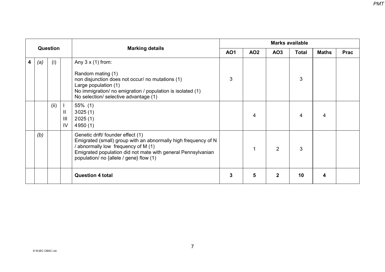|   | Question |      |                         | <b>Marking details</b>                                                                                                                                                                                                                              |            |            |                 | <b>Marks available</b> |              |             |
|---|----------|------|-------------------------|-----------------------------------------------------------------------------------------------------------------------------------------------------------------------------------------------------------------------------------------------------|------------|------------|-----------------|------------------------|--------------|-------------|
|   |          |      |                         |                                                                                                                                                                                                                                                     | <b>AO1</b> | <b>AO2</b> | AO <sub>3</sub> | <b>Total</b>           | <b>Maths</b> | <b>Prac</b> |
| 4 | (a)      | (i)  |                         | Any $3 \times (1)$ from:<br>Random mating (1)<br>non disjunction does not occur/ no mutations (1)<br>Large population (1)<br>No immigration/ no emigration / population is isolated (1)<br>No selection/ selective advantage (1)                    | 3          |            |                 | 3                      |              |             |
|   |          | (ii) | $\mathbf{I}$<br>Ш<br>IV | 55% (1)<br>3025(1)<br>2025(1)<br>4950(1)                                                                                                                                                                                                            |            | 4          |                 | 4                      | 4            |             |
|   | (b)      |      |                         | Genetic drift/ founder effect (1)<br>Emigrated (small) group with an abnormally high frequency of N<br>abnormally low frequency of M (1)<br>Emigrated population did not mate with general Pennsylvanian<br>population/ no {allele / gene} flow (1) |            | 1          | 2               | 3                      |              |             |
|   |          |      |                         | <b>Question 4 total</b>                                                                                                                                                                                                                             | 3          | 5          | 2               | 10                     | 4            |             |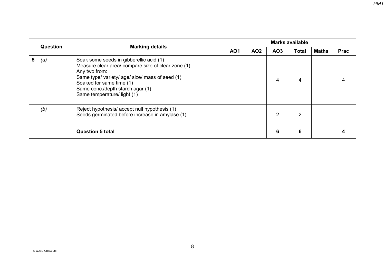|   | <b>Question</b> |  |                                                                                                                                                                                                                                                                  | <b>Marks available</b> |            |                 |              |       |             |  |  |
|---|-----------------|--|------------------------------------------------------------------------------------------------------------------------------------------------------------------------------------------------------------------------------------------------------------------|------------------------|------------|-----------------|--------------|-------|-------------|--|--|
|   |                 |  | <b>Marking details</b>                                                                                                                                                                                                                                           | <b>AO1</b>             | <b>AO2</b> | AO <sub>3</sub> | <b>Total</b> | Maths | <b>Prac</b> |  |  |
| 5 | (a)             |  | Soak some seeds in gibberellic acid (1)<br>Measure clear area/ compare size of clear zone (1)<br>Any two from:<br>Same type/ variety/ age/ size/ mass of seed (1)<br>Soaked for same time (1)<br>Same conc./depth starch agar (1)<br>Same temperature/ light (1) |                        |            | 4               | 4            |       |             |  |  |
|   | (b)             |  | Reject hypothesis/ accept null hypothesis (1)<br>Seeds germinated before increase in amylase (1)                                                                                                                                                                 |                        |            | 2               | 2            |       |             |  |  |
|   |                 |  | <b>Question 5 total</b>                                                                                                                                                                                                                                          |                        |            | 6               | 6            |       |             |  |  |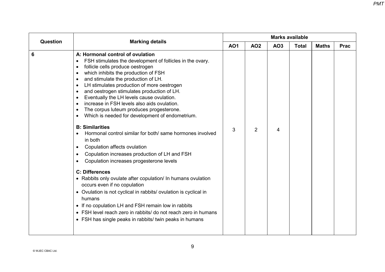| <b>Question</b> |                                                                                                                                                                                                                                                                                                                                                                                                                                                                                                                                                                                                                                                                                                                                                                                                                                                                                                                                                                                                                                                                                                                                   |            |                |     | <b>Marks available</b> |              |             |
|-----------------|-----------------------------------------------------------------------------------------------------------------------------------------------------------------------------------------------------------------------------------------------------------------------------------------------------------------------------------------------------------------------------------------------------------------------------------------------------------------------------------------------------------------------------------------------------------------------------------------------------------------------------------------------------------------------------------------------------------------------------------------------------------------------------------------------------------------------------------------------------------------------------------------------------------------------------------------------------------------------------------------------------------------------------------------------------------------------------------------------------------------------------------|------------|----------------|-----|------------------------|--------------|-------------|
|                 | <b>Marking details</b>                                                                                                                                                                                                                                                                                                                                                                                                                                                                                                                                                                                                                                                                                                                                                                                                                                                                                                                                                                                                                                                                                                            | <b>AO1</b> | <b>AO2</b>     | AO3 | <b>Total</b>           | <b>Maths</b> | <b>Prac</b> |
| 6               | A: Hormonal control of ovulation<br>FSH stimulates the development of follicles in the ovary.<br>follicle cells produce oestrogen<br>which inhibits the production of FSH<br>and stimulate the production of LH.<br>LH stimulates production of more oestrogen<br>and oestrogen stimulates production of LH.<br>Eventually the LH levels cause ovulation.<br>increase in FSH levels also aids ovulation.<br>The corpus luteum produces progesterone.<br>Which is needed for development of endometrium.<br><b>B: Similarities</b><br>Hormonal control similar for both/ same hormones involved<br>in both<br>Copulation affects ovulation<br>Copulation increases production of LH and FSH<br>Copulation increases progesterone levels<br><b>C: Differences</b><br>• Rabbits only ovulate after copulation/ In humans ovulation<br>occurs even if no copulation<br>• Ovulation is not cyclical in rabbits/ ovulation is cyclical in<br>humans<br>• If no copulation LH and FSH remain low in rabbits<br>• FSH level reach zero in rabbits/ do not reach zero in humans<br>• FSH has single peaks in rabbits/ twin peaks in humans | 3          | $\overline{2}$ | 4   |                        |              |             |
|                 |                                                                                                                                                                                                                                                                                                                                                                                                                                                                                                                                                                                                                                                                                                                                                                                                                                                                                                                                                                                                                                                                                                                                   |            |                |     |                        |              |             |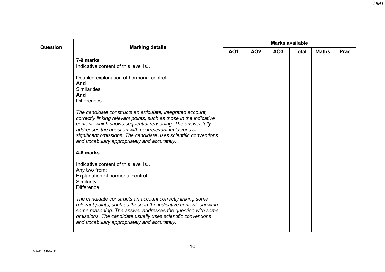|                 |                                                                                                                                                                                                                                                                                                                                                                                                                                                                                                                                                                                                                                                                                                                   |            |            |     | <b>Marks available</b> |              |             |
|-----------------|-------------------------------------------------------------------------------------------------------------------------------------------------------------------------------------------------------------------------------------------------------------------------------------------------------------------------------------------------------------------------------------------------------------------------------------------------------------------------------------------------------------------------------------------------------------------------------------------------------------------------------------------------------------------------------------------------------------------|------------|------------|-----|------------------------|--------------|-------------|
|                 |                                                                                                                                                                                                                                                                                                                                                                                                                                                                                                                                                                                                                                                                                                                   | <b>AO1</b> | <b>AO2</b> | AO3 | <b>Total</b>           | <b>Maths</b> | <b>Prac</b> |
| <b>Question</b> | <b>Marking details</b><br>7-9 marks<br>Indicative content of this level is<br>Detailed explanation of hormonal control.<br>And<br><b>Similarities</b><br>And<br><b>Differences</b><br>The candidate constructs an articulate, integrated account,<br>correctly linking relevant points, such as those in the indicative<br>content, which shows sequential reasoning. The answer fully<br>addresses the question with no irrelevant inclusions or<br>significant omissions. The candidate uses scientific conventions<br>and vocabulary appropriately and accurately.<br>4-6 marks<br>Indicative content of this level is<br>Any two from:<br>Explanation of hormonal control.<br>Similarity<br><b>Difference</b> |            |            |     |                        |              |             |
|                 | The candidate constructs an account correctly linking some<br>relevant points, such as those in the indicative content, showing<br>some reasoning. The answer addresses the question with some<br>omissions. The candidate usually uses scientific conventions<br>and vocabulary appropriately and accurately.                                                                                                                                                                                                                                                                                                                                                                                                    |            |            |     |                        |              |             |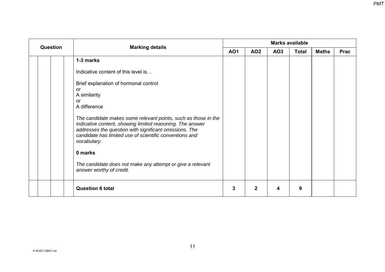| <b>Question</b> | <b>Marking details</b>                                                                                                                                                                                                                                          |            |              |                 | <b>Marks available</b> |              |             |
|-----------------|-----------------------------------------------------------------------------------------------------------------------------------------------------------------------------------------------------------------------------------------------------------------|------------|--------------|-----------------|------------------------|--------------|-------------|
|                 |                                                                                                                                                                                                                                                                 | <b>AO1</b> | <b>AO2</b>   | AO <sub>3</sub> | <b>Total</b>           | <b>Maths</b> | <b>Prac</b> |
|                 | 1-3 marks                                                                                                                                                                                                                                                       |            |              |                 |                        |              |             |
|                 | Indicative content of this level is                                                                                                                                                                                                                             |            |              |                 |                        |              |             |
|                 | Brief explanation of hormonal control<br>or<br>A similarity<br>or<br>A difference                                                                                                                                                                               |            |              |                 |                        |              |             |
|                 | The candidate makes some relevant points, such as those in the<br>indicative content, showing limited reasoning. The answer<br>addresses the question with significant omissions. The<br>candidate has limited use of scientific conventions and<br>vocabulary. |            |              |                 |                        |              |             |
|                 | 0 marks                                                                                                                                                                                                                                                         |            |              |                 |                        |              |             |
|                 | The candidate does not make any attempt or give a relevant<br>answer worthy of credit.                                                                                                                                                                          |            |              |                 |                        |              |             |
|                 | <b>Question 6 total</b>                                                                                                                                                                                                                                         | 3          | $\mathbf{2}$ | 4               | 9                      |              |             |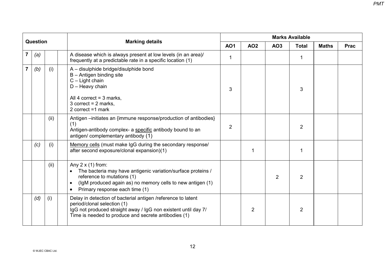|                         |          |      |                                                                                                                                                                                                                                                  |                | <b>Marks Available</b> |                |                |              |             |
|-------------------------|----------|------|--------------------------------------------------------------------------------------------------------------------------------------------------------------------------------------------------------------------------------------------------|----------------|------------------------|----------------|----------------|--------------|-------------|
|                         | Question |      | <b>Marking details</b>                                                                                                                                                                                                                           | <b>AO1</b>     | <b>AO2</b>             | AO3            | <b>Total</b>   | <b>Maths</b> | <b>Prac</b> |
| 7                       | (a)      |      | A disease which is always present at low levels (in an area)/<br>frequently at a predictable rate in a specific location (1)                                                                                                                     | 1              |                        |                | 1              |              |             |
| $\overline{\mathbf{r}}$ | (b)      | (i)  | A - disulphide bridge/disulphide bond<br>$B -$ Antigen binding site<br>$C -$ Light chain<br>$D -$ Heavy chain<br>All 4 correct = $3$ marks,<br>3 correct = $2$ marks,                                                                            | 3              |                        |                | 3              |              |             |
|                         |          |      | 2 correct $=1$ mark                                                                                                                                                                                                                              |                |                        |                |                |              |             |
|                         |          | (ii) | Antigen --initiates an {immune response/production of antibodies}<br>(1)<br>Antigen-antibody complex- a specific antibody bound to an<br>antigen/ complementary antibody (1)                                                                     | $\overline{2}$ |                        |                | $\overline{2}$ |              |             |
|                         | (c)      | (i)  | Memory cells (must make IgG during the secondary response/<br>after second exposure/clonal expansion)(1)                                                                                                                                         |                |                        |                | 1              |              |             |
|                         |          | (ii) | Any $2 \times (1)$ from:<br>The bacteria may have antigenic variation/surface proteins /<br>reference to mutations (1)<br>(IgM produced again as) no memory cells to new antigen (1)<br>$\bullet$<br>Primary response each time (1)<br>$\bullet$ |                |                        | $\overline{2}$ | 2              |              |             |
|                         | (d)      | (i)  | Delay in detection of bacterial antigen /reference to latent<br>period/clonal selection (1)<br>IgG not produced straight away / IgG non existent until day 7/<br>Time is needed to produce and secrete antibodies (1)                            |                | $\overline{2}$         |                | $\overline{2}$ |              |             |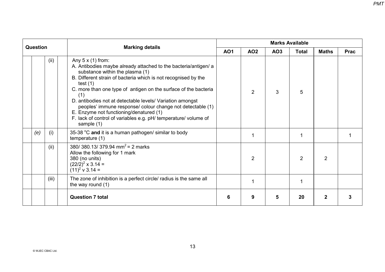| Question |       |                                                                                                                                                                                                                                                                                                                                                                                                                                                                                                                                                 |            |                | <b>Marks Available</b> |                |                |             |
|----------|-------|-------------------------------------------------------------------------------------------------------------------------------------------------------------------------------------------------------------------------------------------------------------------------------------------------------------------------------------------------------------------------------------------------------------------------------------------------------------------------------------------------------------------------------------------------|------------|----------------|------------------------|----------------|----------------|-------------|
|          |       | <b>Marking details</b>                                                                                                                                                                                                                                                                                                                                                                                                                                                                                                                          | <b>AO1</b> | <b>AO2</b>     | AO <sub>3</sub>        | <b>Total</b>   | <b>Maths</b>   | <b>Prac</b> |
|          | (ii)  | Any $5 \times (1)$ from:<br>A. Antibodies maybe already attached to the bacteria/antigen/ a<br>substance within the plasma (1)<br>B. Different strain of bacteria which is not recognised by the<br>test $(1)$<br>C. more than one type of antigen on the surface of the bacteria<br>(1)<br>D. antibodies not at detectable levels/ Variation amongst<br>peoples' immune response/ colour change not detectable (1)<br>E. Enzyme not functioning/denatured (1)<br>F. lack of control of variables e.g. pH/ temperature/ volume of<br>sample (1) |            | 2              | 3                      | 5              |                |             |
| (e)      | (i)   | 35-38 °C and it is a human pathogen/ similar to body<br>temperature (1)                                                                                                                                                                                                                                                                                                                                                                                                                                                                         |            | 1              |                        |                |                |             |
|          | (ii)  | 380/ 380.13/ 379.94 mm <sup>2</sup> = 2 marks<br>Allow the following for 1 mark<br>380 (no units)<br>$(22/2)^2 \times 3.14 =$<br>$(11)^2$ v 3.14 =                                                                                                                                                                                                                                                                                                                                                                                              |            | $\overline{2}$ |                        | $\overline{2}$ | $\overline{2}$ |             |
|          | (iii) | The zone of inhibition is a perfect circle/ radius is the same all<br>the way round $(1)$                                                                                                                                                                                                                                                                                                                                                                                                                                                       |            | 1              |                        |                |                |             |
|          |       | <b>Question 7 total</b>                                                                                                                                                                                                                                                                                                                                                                                                                                                                                                                         | 6          | 9              | 5                      | 20             | $\mathbf{2}$   |             |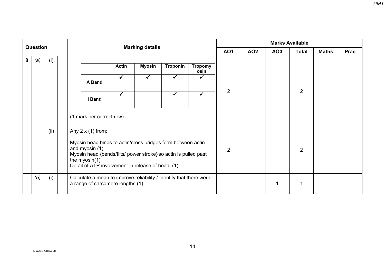| Question |     |      |  |                                                                                                        |                                                                                                                                                                                                                                                      |              | <b>Marking details</b> |              |                        | <b>Marks Available</b>                                      |  |   |                |             |  |
|----------|-----|------|--|--------------------------------------------------------------------------------------------------------|------------------------------------------------------------------------------------------------------------------------------------------------------------------------------------------------------------------------------------------------------|--------------|------------------------|--------------|------------------------|-------------------------------------------------------------|--|---|----------------|-------------|--|
|          |     |      |  |                                                                                                        |                                                                                                                                                                                                                                                      |              |                        |              |                        | <b>AO1</b><br><b>AO2</b><br>AO <sub>3</sub><br><b>Total</b> |  |   | <b>Maths</b>   | <b>Prac</b> |  |
| 8        | (a) | (i)  |  |                                                                                                        |                                                                                                                                                                                                                                                      | <b>Actin</b> | <b>Myosin</b>          | Troponin     | <b>Tropomy</b><br>osin |                                                             |  |   |                |             |  |
|          |     |      |  |                                                                                                        | A Band                                                                                                                                                                                                                                               | $\checkmark$ | $\checkmark$           | $\checkmark$ |                        |                                                             |  |   | 2              |             |  |
|          |     |      |  |                                                                                                        | I Band                                                                                                                                                                                                                                               | $\checkmark$ |                        | ✓            | $\checkmark$           | 2                                                           |  |   |                |             |  |
|          |     |      |  |                                                                                                        | (1 mark per correct row)                                                                                                                                                                                                                             |              |                        |              |                        |                                                             |  |   |                |             |  |
|          |     | (ii) |  |                                                                                                        | Any $2 \times (1)$ from:<br>Myosin head binds to actin/cross bridges form between actin<br>and myosin (1)<br>Myosin head {bends/tilts/ power stroke} so actin is pulled past<br>the myosin $(1)$<br>Detail of ATP involvement in release of head (1) |              |                        |              |                        | $\overline{2}$                                              |  |   | $\overline{2}$ |             |  |
|          | (b) | (i)  |  | Calculate a mean to improve reliability / Identify that there were<br>a range of sarcomere lengths (1) |                                                                                                                                                                                                                                                      |              |                        |              |                        |                                                             |  | 1 |                |             |  |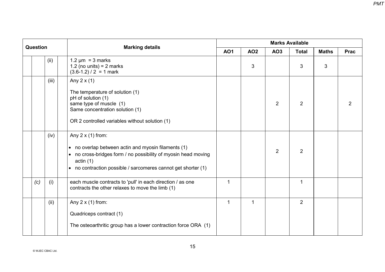| Question |     |       |                                                                                                                                                                                                                                         |             | <b>Marks Available</b> |                |                |              |                |  |  |
|----------|-----|-------|-----------------------------------------------------------------------------------------------------------------------------------------------------------------------------------------------------------------------------------------|-------------|------------------------|----------------|----------------|--------------|----------------|--|--|
|          |     |       | <b>Marking details</b>                                                                                                                                                                                                                  | <b>AO1</b>  | <b>AO2</b>             | AO3            | <b>Total</b>   | <b>Maths</b> | <b>Prac</b>    |  |  |
|          |     | (ii)  | $1.2 \mu m = 3$ marks<br>1.2 (no units) = $2$ marks<br>$(3.6-1.2) / 2 = 1$ mark                                                                                                                                                         |             | 3                      |                | 3              | 3            |                |  |  |
|          |     | (iii) | Any $2 \times (1)$<br>The temperature of solution (1)<br>pH of solution (1)<br>same type of muscle (1)<br>Same concentration solution (1)<br>OR 2 controlled variables without solution (1)                                             |             |                        | $\overline{2}$ | $\overline{2}$ |              | $\overline{2}$ |  |  |
|          |     | (iv)  | Any $2 \times (1)$ from:<br>no overlap between actin and myosin filaments (1)<br>$\bullet$<br>no cross-bridges form / no possibility of myosin head moving<br>actin(1)<br>• no contraction possible / sarcomeres cannot get shorter (1) |             |                        | $\overline{2}$ | 2              |              |                |  |  |
|          | (c) | (i)   | each muscle contracts to 'pull' in each direction / as one<br>contracts the other relaxes to move the limb (1)                                                                                                                          | $\mathbf 1$ |                        |                | 1              |              |                |  |  |
|          |     | (ii)  | Any $2 \times (1)$ from:<br>Quadriceps contract (1)<br>The osteoarthritic group has a lower contraction force ORA (1)                                                                                                                   | $\mathbf 1$ | $\mathbf{1}$           |                | $\overline{2}$ |              |                |  |  |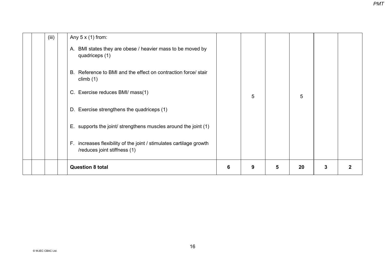| (iii) | Any $5 \times (1)$ from:<br>BMI states they are obese / heavier mass to be moved by<br>Α.<br>quadriceps (1)<br>Reference to BMI and the effect on contraction force/ stair<br>В.<br>climb $(1)$ |   |   |   |    |   |              |
|-------|-------------------------------------------------------------------------------------------------------------------------------------------------------------------------------------------------|---|---|---|----|---|--------------|
|       | C. Exercise reduces BMI/ mass(1)                                                                                                                                                                |   | 5 |   | 5  |   |              |
|       | D. Exercise strengthens the quadriceps (1)                                                                                                                                                      |   |   |   |    |   |              |
|       | E. supports the joint/ strengthens muscles around the joint (1)                                                                                                                                 |   |   |   |    |   |              |
|       | F. increases flexibility of the joint / stimulates cartilage growth<br>/reduces joint stiffness (1)                                                                                             |   |   |   |    |   |              |
|       | <b>Question 8 total</b>                                                                                                                                                                         | 6 | 9 | 5 | 20 | 3 | $\mathbf{2}$ |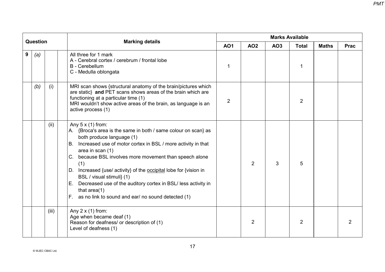| <b>Question</b> |     |       |                                                                                                                                                                                                                                                                                                                                                                                                                                                                                                                                                | <b>Marks Available</b> |                |     |                |              |             |  |
|-----------------|-----|-------|------------------------------------------------------------------------------------------------------------------------------------------------------------------------------------------------------------------------------------------------------------------------------------------------------------------------------------------------------------------------------------------------------------------------------------------------------------------------------------------------------------------------------------------------|------------------------|----------------|-----|----------------|--------------|-------------|--|
|                 |     |       | <b>Marking details</b>                                                                                                                                                                                                                                                                                                                                                                                                                                                                                                                         | <b>AO1</b>             | <b>AO2</b>     | AO3 | <b>Total</b>   | <b>Maths</b> | <b>Prac</b> |  |
| 9               | (a) |       | All three for 1 mark<br>A - Cerebral cortex / cerebrum / frontal lobe<br><b>B</b> - Cerebellum<br>C - Medulla oblongata                                                                                                                                                                                                                                                                                                                                                                                                                        | 1                      |                |     | 1              |              |             |  |
|                 | (b) | (i)   | MRI scan shows {structural anatomy of the brain/pictures which<br>are static} and PET scans shows areas of the brain which are<br>functioning at a particular time (1)<br>MRI wouldn't show active areas of the brain, as language is an<br>active process (1)                                                                                                                                                                                                                                                                                 | 2                      |                |     | $\overline{2}$ |              |             |  |
|                 |     | (ii)  | Any $5 \times (1)$ from:<br>A. {Broca's area is the same in both / same colour on scan} as<br>both produce language (1)<br>B. Increased use of motor cortex in BSL / more activity in that<br>area in scan (1)<br>because BSL involves more movement than speech alone<br>C.<br>(1)<br>Increased {use/ activity} of the occipital lobe for {vision in<br>D.<br>BSL / visual stimuli} (1)<br>Decreased use of the auditory cortex in BSL/ less activity in<br>Е.<br>that area $(1)$<br>as no link to sound and ear/ no sound detected (1)<br>F. |                        | $\overline{2}$ | 3   | 5              |              |             |  |
|                 |     | (iii) | Any $2 \times (1)$ from:<br>Age when became deaf (1)<br>Reason for deafness/ or description of (1)<br>Level of deafness (1)                                                                                                                                                                                                                                                                                                                                                                                                                    |                        | 2              |     | $\overline{2}$ |              | 2           |  |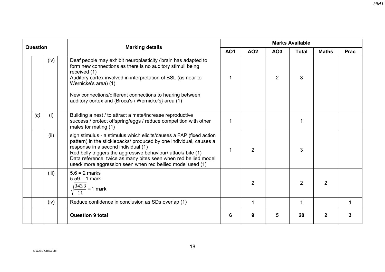| <b>Question</b> |     |       |                                                                                                                                                                                                                                                                                                                                                                                   |             |                | <b>Marks Available</b> |                |              |             |
|-----------------|-----|-------|-----------------------------------------------------------------------------------------------------------------------------------------------------------------------------------------------------------------------------------------------------------------------------------------------------------------------------------------------------------------------------------|-------------|----------------|------------------------|----------------|--------------|-------------|
|                 |     |       | <b>Marking details</b>                                                                                                                                                                                                                                                                                                                                                            | <b>AO1</b>  | <b>AO2</b>     | AO <sub>3</sub>        | <b>Total</b>   | <b>Maths</b> | <b>Prac</b> |
|                 |     | (iv)  | Deaf people may exhibit neuroplasticity /'brain has adapted to<br>form new connections as there is no auditory stimuli being<br>received (1)<br>Auditory cortex involved in interpretation of BSL (as near to<br>Wernicke's area) (1)<br>New connections/different connections to hearing between<br>auditory cortex and {Broca's / Wernicke's} area (1)                          | 1           |                | 2                      | 3              |              |             |
|                 | (c) | (i)   | Building a nest / to attract a mate/increase reproductive<br>success / protect offspring/eggs / reduce competition with other<br>males for mating (1)                                                                                                                                                                                                                             | 1           |                |                        |                |              |             |
|                 |     | (ii)  | sign stimulus - a stimulus which elicits/causes a FAP (fixed action<br>pattern) in the sticklebacks/ produced by one individual, causes a<br>response in a second individual (1)<br>Red belly triggers the aggressive behaviour/ attack/ bite (1)<br>Data reference twice as many bites seen when red bellied model<br>used/ more aggression seen when red bellied model used (1) | $\mathbf 1$ | 2              |                        | 3              |              |             |
|                 |     | (iii) | $5.6 = 2$ marks<br>$5.59 = 1$ mark<br>$\frac{343.3}{11}$ = 1 mark                                                                                                                                                                                                                                                                                                                 |             | $\overline{2}$ |                        | $\overline{2}$ | 2            |             |
|                 |     | (iv)  | Reduce confidence in conclusion as SDs overlap (1)                                                                                                                                                                                                                                                                                                                                |             | $\mathbf 1$    |                        | 1              |              | 1           |
|                 |     |       | <b>Question 9 total</b>                                                                                                                                                                                                                                                                                                                                                           | 6           | 9              | 5                      | 20             | 2            |             |